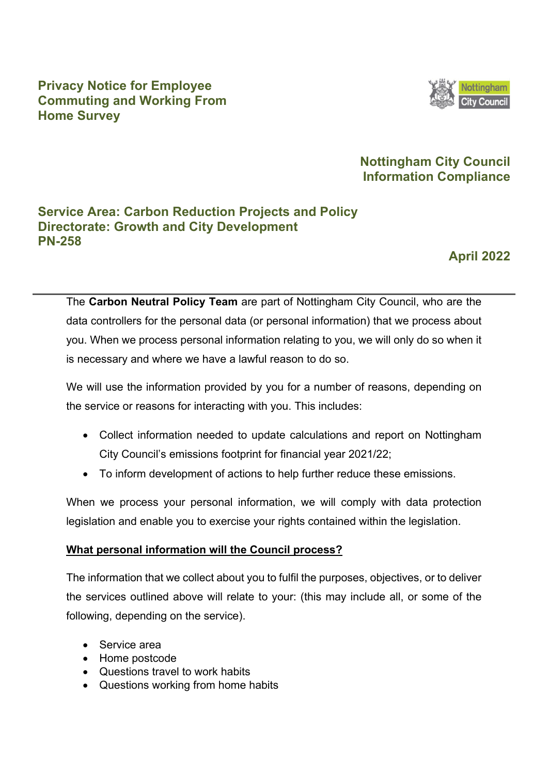## **Privacy Notice for Employee Commuting and Working From Home Survey**



## **Nottingham City Council Information Compliance**

## **Service Area: Carbon Reduction Projects and Policy Directorate: Growth and City Development PN-258**

**April 2022** 

The **Carbon Neutral Policy Team** are part of Nottingham City Council, who are the data controllers for the personal data (or personal information) that we process about you. When we process personal information relating to you, we will only do so when it is necessary and where we have a lawful reason to do so.

We will use the information provided by you for a number of reasons, depending on the service or reasons for interacting with you. This includes:

- Collect information needed to update calculations and report on Nottingham City Council's emissions footprint for financial year 2021/22;
- To inform development of actions to help further reduce these emissions.

When we process your personal information, we will comply with data protection legislation and enable you to exercise your rights contained within the legislation.

### **What personal information will the Council process?**

The information that we collect about you to fulfil the purposes, objectives, or to deliver the services outlined above will relate to your: (this may include all, or some of the following, depending on the service).

- Service area
- Home postcode
- Questions travel to work habits
- Questions working from home habits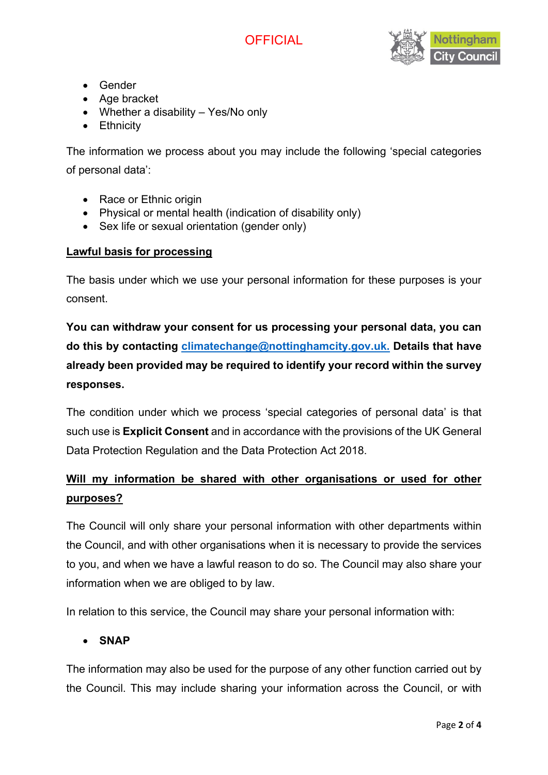



- Gender
- Age bracket
- Whether a disability Yes/No only
- Ethnicity

The information we process about you may include the following 'special categories of personal data':

- Race or Ethnic origin
- Physical or mental health (indication of disability only)
- Sex life or sexual orientation (gender only)

#### **Lawful basis for processing**

The basis under which we use your personal information for these purposes is your consent.

**You can withdraw your consent for us processing your personal data, you can do this by contacting [climatechange@nottinghamcity.gov.uk.](mailto:climatechange@nottinghamcity.gov.uk) Details that have already been provided may be required to identify your record within the survey responses.**

The condition under which we process 'special categories of personal data' is that such use is **Explicit Consent** and in accordance with the provisions of the UK General Data Protection Regulation and the Data Protection Act 2018.

# **Will my information be shared with other organisations or used for other purposes?**

The Council will only share your personal information with other departments within the Council, and with other organisations when it is necessary to provide the services to you, and when we have a lawful reason to do so. The Council may also share your information when we are obliged to by law.

In relation to this service, the Council may share your personal information with:

### • **SNAP**

The information may also be used for the purpose of any other function carried out by the Council. This may include sharing your information across the Council, or with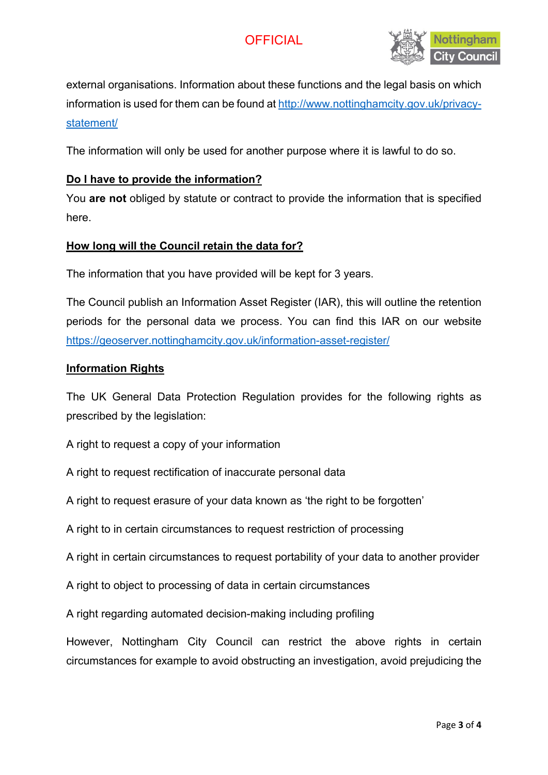# **OFFICIAL**



external organisations. Information about these functions and the legal basis on which information is used for them can be found at [http://www.nottinghamcity.gov.uk/privacy](http://www.nottinghamcity.gov.uk/privacy-statement/)[statement/](http://www.nottinghamcity.gov.uk/privacy-statement/) 

The information will only be used for another purpose where it is lawful to do so.

#### **Do I have to provide the information?**

You **are not** obliged by statute or contract to provide the information that is specified here.

#### **How long will the Council retain the data for?**

The information that you have provided will be kept for 3 years.

The Council publish an Information Asset Register (IAR), this will outline the retention periods for the personal data we process. You can find this IAR on our website <https://geoserver.nottinghamcity.gov.uk/information-asset-register/>

#### **Information Rights**

The UK General Data Protection Regulation provides for the following rights as prescribed by the legislation:

A right to request a copy of your information

A right to request rectification of inaccurate personal data

A right to request erasure of your data known as 'the right to be forgotten'

A right to in certain circumstances to request restriction of processing

A right in certain circumstances to request portability of your data to another provider

A right to object to processing of data in certain circumstances

A right regarding automated decision-making including profiling

However, Nottingham City Council can restrict the above rights in certain circumstances for example to avoid obstructing an investigation, avoid prejudicing the